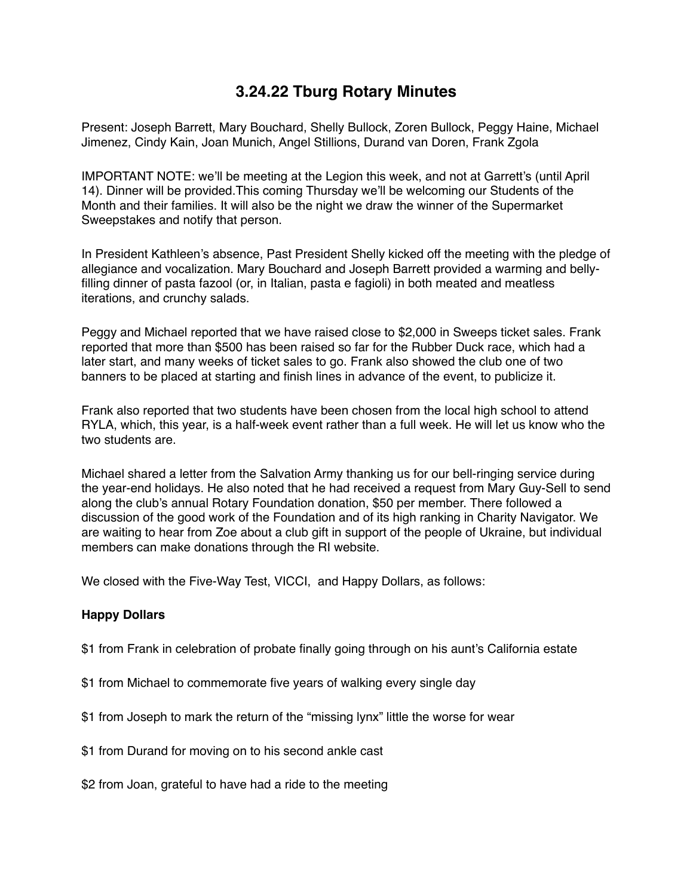## **3.24.22 Tburg Rotary Minutes**

Present: Joseph Barrett, Mary Bouchard, Shelly Bullock, Zoren Bullock, Peggy Haine, Michael Jimenez, Cindy Kain, Joan Munich, Angel Stillions, Durand van Doren, Frank Zgola

IMPORTANT NOTE: we'll be meeting at the Legion this week, and not at Garrett's (until April 14). Dinner will be provided.This coming Thursday we'll be welcoming our Students of the Month and their families. It will also be the night we draw the winner of the Supermarket Sweepstakes and notify that person.

In President Kathleen's absence, Past President Shelly kicked off the meeting with the pledge of allegiance and vocalization. Mary Bouchard and Joseph Barrett provided a warming and bellyfilling dinner of pasta fazool (or, in Italian, pasta e fagioli) in both meated and meatless iterations, and crunchy salads.

Peggy and Michael reported that we have raised close to \$2,000 in Sweeps ticket sales. Frank reported that more than \$500 has been raised so far for the Rubber Duck race, which had a later start, and many weeks of ticket sales to go. Frank also showed the club one of two banners to be placed at starting and finish lines in advance of the event, to publicize it.

Frank also reported that two students have been chosen from the local high school to attend RYLA, which, this year, is a half-week event rather than a full week. He will let us know who the two students are.

Michael shared a letter from the Salvation Army thanking us for our bell-ringing service during the year-end holidays. He also noted that he had received a request from Mary Guy-Sell to send along the club's annual Rotary Foundation donation, \$50 per member. There followed a discussion of the good work of the Foundation and of its high ranking in Charity Navigator. We are waiting to hear from Zoe about a club gift in support of the people of Ukraine, but individual members can make donations through the RI website.

We closed with the Five-Way Test, VICCI, and Happy Dollars, as follows:

## **Happy Dollars**

- \$1 from Frank in celebration of probate finally going through on his aunt's California estate
- \$1 from Michael to commemorate five years of walking every single day
- \$1 from Joseph to mark the return of the "missing lynx" little the worse for wear
- \$1 from Durand for moving on to his second ankle cast
- \$2 from Joan, grateful to have had a ride to the meeting